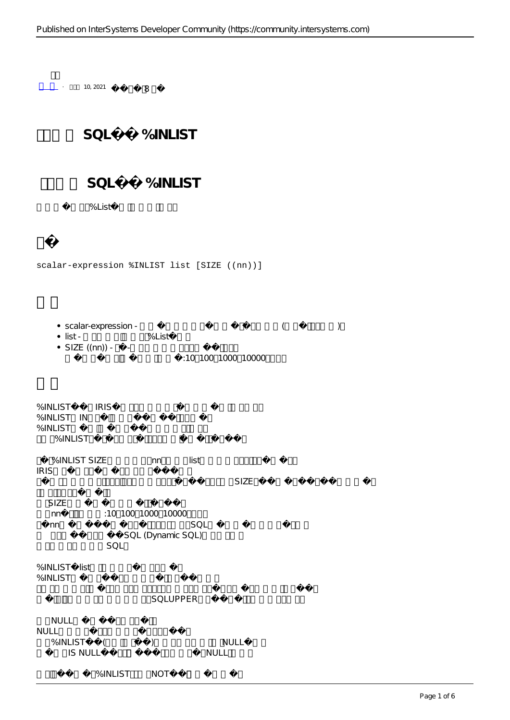$\frac{1}{2}$  · 10, 2021 and 8 SQL %INLIST SQL %INLIST  $%$ list scalar-expression %INLIST list [SIZE ((nn))] ● scalar-expression - (2000)  $\bullet$  list -  $\%$  List  $\bullet$  SIZE  $(\text{nn})$  - - $: 10$  100 1000 10000 %INLIST IRIS %INLIST IN %INLIST %INLIST %INLIST SIZE nn list IRIS使用这个数量级估计来确定最佳查询计划。  $S1ZE$ SIZE 指定nn为以下文字之一:10、100、1000、10000,等等。  $\mathsf{nn}$ SQL (Dynamic SQL) SQL %INLIST list %INLIST SQLUPPER NULL NULL %INLIST () NULL IS NULL NULL NULL

%INLIST NOT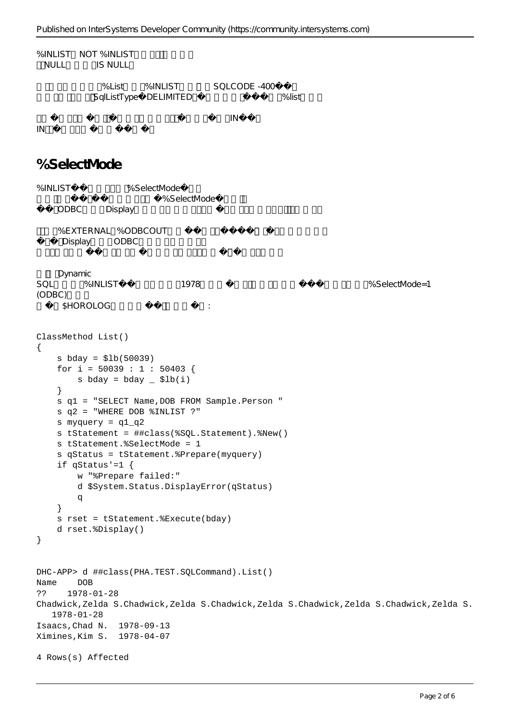%INLIST NOT %INLIST NULL IS NULL %List %INLIST SQLCODE -400 SqlListType DELIMITED, %list  $\mathbb{R}$ IN  $\blacksquare$ **%SelectMode** %INLIST %SelectMode %SelectMode ODBC Display %EXTERNAL %ODBCOUT Display ODBC Dynamic SQL %INLIST 1978 300 M/M = 1978 3electMode=1  $(ODE)$  $$HOROLOG$ ClassMethod List() {  $s$  bday =  $$1b(50039)$  for i = 50039 : 1 : 50403 { s bday =  $bday$   $\_$   $$1b(i)$  } s q1 = "SELECT Name,DOB FROM Sample.Person " s q2 = "WHERE DOB %INLIST ?" s myquery = q1\_q2 s tStatement = ##class(%SQL.Statement).%New() s tStatement.%SelectMode = 1 s qStatus = tStatement.%Prepare(myquery) if qStatus'=1 { w "%Prepare failed:" d \$System.Status.DisplayError(qStatus) q } s rset = tStatement.%Execute(bday) d rset.%Display() } DHC-APP> d ##class(PHA.TEST.SQLCommand).List() Name DOB ?? 1978-01-28 Chadwick,Zelda S.Chadwick,Zelda S.Chadwick,Zelda S.Chadwick,Zelda S.Chadwick,Zelda S. 1978-01-28 Isaacs,Chad N. 1978-09-13 Ximines,Kim S. 1978-04-07 4 Rows(s) Affected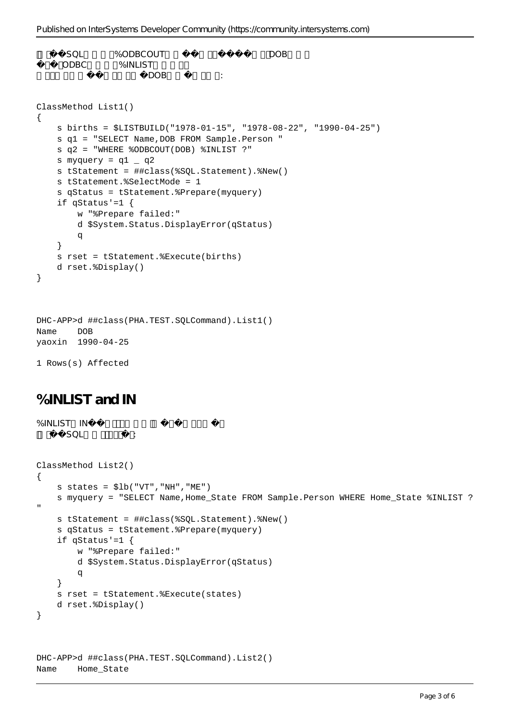| sol  | %ODBCOUT  | DOB |
|------|-----------|-----|
| ODBC | % IN LIST |     |
|      | DO B      |     |

```
ClassMethod List1()
{
     s births = $LISTBUILD("1978-01-15", "1978-08-22", "1990-04-25")
     s q1 = "SELECT Name,DOB FROM Sample.Person "
     s q2 = "WHERE %ODBCOUT(DOB) %INLIST ?"
    s myquery = q1 q2 s tStatement = ##class(%SQL.Statement).%New()
     s tStatement.%SelectMode = 1
     s qStatus = tStatement.%Prepare(myquery)
     if qStatus'=1 {
         w "%Prepare failed:" 
         d $System.Status.DisplayError(qStatus) 
q
     }
     s rset = tStatement.%Execute(births)
     d rset.%Display()
}
```

```
DHC-APP>d ##class(PHA.TEST.SQLCommand).List1()
Name DOB
yaoxin 1990-04-25
```

```
1 Rows(s) Affected
```
## **%INLIST and IN**

 $SQL$  :

%INLIST IN

```
ClassMethod List2()
{
    s states = $lb('VT", "NH", "ME") s myquery = "SELECT Name,Home_State FROM Sample.Person WHERE Home_State %INLIST ?
"
     s tStatement = ##class(%SQL.Statement).%New()
     s qStatus = tStatement.%Prepare(myquery)
     if qStatus'=1 {
         w "%Prepare failed:" 
         d $System.Status.DisplayError(qStatus) 
         q
     }
     s rset = tStatement.%Execute(states)
     d rset.%Display()
}
DHC-APP>d ##class(PHA.TEST.SQLCommand).List2()
Name Home State
```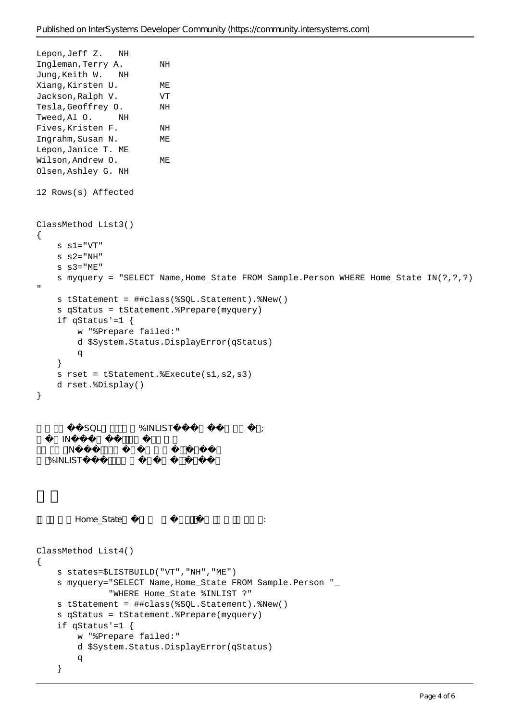```
Lepon,Jeff Z. NH
Ingleman, Terry A. NH
Jung,Keith W. NH
Xiang,Kirsten U. ME
Jackson,Ralph V. VT
Tesla,Geoffrey O. NH
Tweed,Al O. NH
Fives,Kristen F. NH
Ingrahm,Susan N. ME
Lepon,Janice T. ME
Wilson,Andrew O. ME
Olsen,Ashley G. NH
12 Rows(s) Affected
ClassMethod List3()
{
   s s1 = "VT" s s2="NH"
    s s3="ME"
    s myquery = "SELECT Name,Home_State FROM Sample.Person WHERE Home_State IN(?,?,?)
"
    s tStatement = ##class(%SQL.Statement).%New()
    s qStatus = tStatement.%Prepare(myquery)
    if qStatus'=1 {
        w "%Prepare failed:" 
        d $System.Status.DisplayError(qStatus) 
        q
     }
    s rset = tStatement.%Execute(s1,s2,s3)
    d rset.%Display()
}
        SQL %INLIST
必须将IN谓词值作为单独的主机变量提供。
IN%INLIST
       Home State
ClassMethod List4()
{
    s states=$LISTBUILD("VT","NH","ME")
   s myquery="SELECT Name, Home State FROM Sample. Person "
              "WHERE Home_State %INLIST ?"
    s tStatement = ##class(%SQL.Statement).%New()
    s qStatus = tStatement.%Prepare(myquery)
   if qStatus'=1 \{ w "%Prepare failed:" 
        d $System.Status.DisplayError(qStatus) 
q
     }
```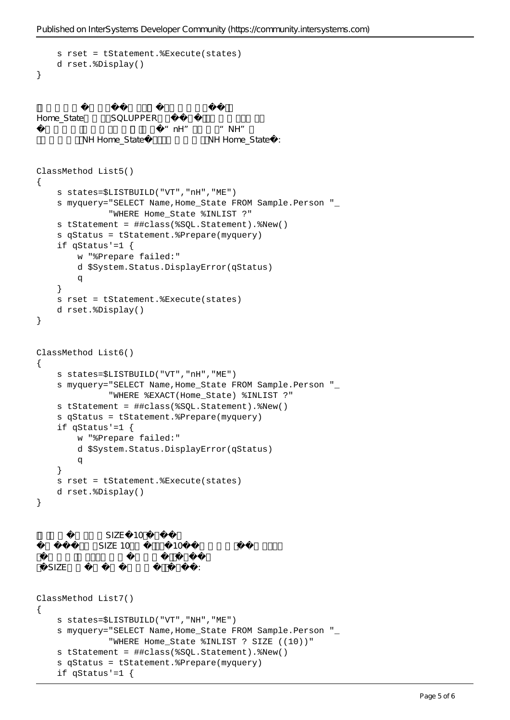```
 s rset = tStatement.%Execute(states)
     d rset.%Display()
}
Home State SQLUPPER
\mathbb{Z}^nnH", \mathbb{Z}^n \mathbb{Z}^nNH Home_State NH Home_State :
ClassMethod List5()
{
     s states=$LISTBUILD("VT","nH","ME")
     s myquery="SELECT Name,Home_State FROM Sample.Person "_
               "WHERE Home_State %INLIST ?"
     s tStatement = ##class(%SQL.Statement).%New()
     s qStatus = tStatement.%Prepare(myquery)
     if qStatus'=1 {
         w "%Prepare failed:" 
         d $System.Status.DisplayError(qStatus) 
q
     }
     s rset = tStatement.%Execute(states)
     d rset.%Display()
}
ClassMethod List6()
{
     s states=$LISTBUILD("VT","nH","ME")
     s myquery="SELECT Name,Home_State FROM Sample.Person "_
               "WHERE %EXACT(Home_State) %INLIST ?"
     s tStatement = ##class(%SQL.Statement).%New()
     s qStatus = tStatement.%Prepare(myquery)
     if qStatus'=1 {
         w "%Prepare failed:" 
         d $System.Status.DisplayError(qStatus) 
q
     }
     s rset = tStatement.%Execute(states)
     d rset.%Display()
}
             SIZE 10
            SIZF 10 10SIZE
ClassMethod List7()
{
     s states=$LISTBUILD("VT","NH","ME")
     s myquery="SELECT Name,Home_State FROM Sample.Person "_
               "WHERE Home_State %INLIST ? SIZE ((10))"
     s tStatement = ##class(%SQL.Statement).%New()
     s qStatus = tStatement.%Prepare(myquery)
     if qStatus'=1 {
```